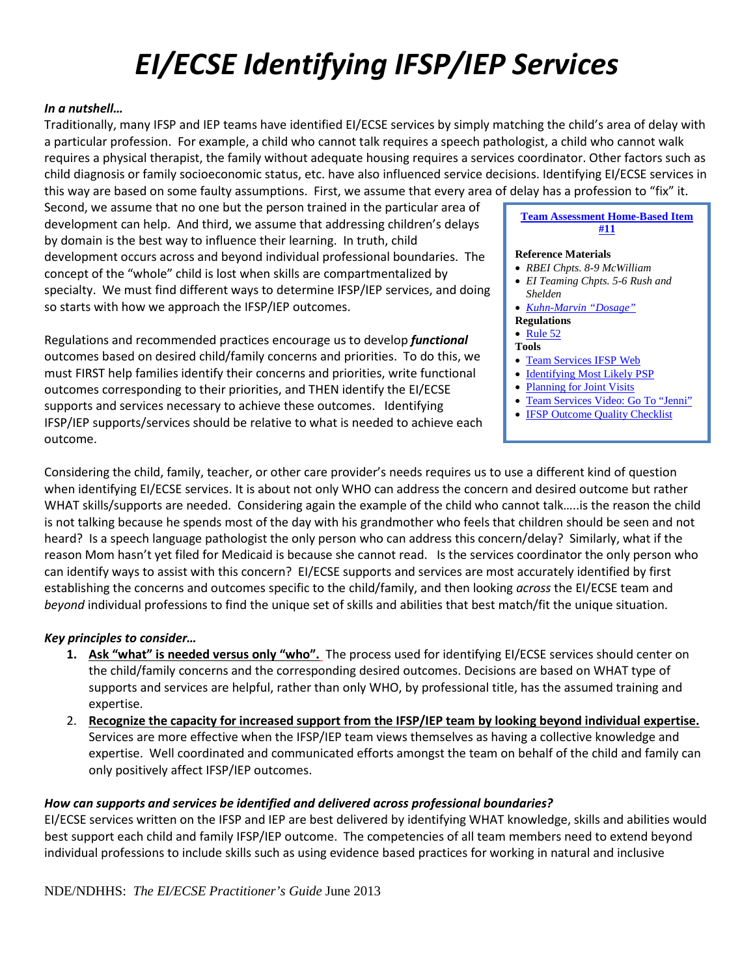# *EI/ECSE Identifying IFSP/IEP Services*

# *In a nutshell…*

Traditionally, many IFSP and IEP teams have identified EI/ECSE services by simply matching the child's area of delay with a particular profession. For example, a child who cannot talk requires a speech pathologist, a child who cannot walk requires a physical therapist, the family without adequate housing requires a services coordinator. Other factors such as child diagnosis or family socioeconomic status, etc. have also influenced service decisions. Identifying EI/ECSE services in this way are based on some faulty assumptions. First, we assume that every area of delay has a profession to "fix" it.

Second, we assume that no one but the person trained in the particular area of development can help. And third, we assume that addressing children's delays by domain is the best way to influence their learning. In truth, child development occurs across and beyond individual professional boundaries. The concept of the "whole" child is lost when skills are compartmentalized by specialty. We must find different ways to determine IFSP/IEP services, and doing so starts with how we approach the IFSP/IEP outcomes.

Regulations and recommended practices encourage us to develop *functional*  outcomes based on desired child/family concerns and priorities. To do this, we must FIRST help families identify their concerns and priorities, write functional outcomes corresponding to their priorities, and THEN identify the EI/ECSE supports and services necessary to achieve these outcomes. Identifying IFSP/IEP supports/services should be relative to what is needed to achieve each outcome.

# **[Team Assessment Home-Based Item](http://www.education.ne.gov/sped/rbi2/HB%20Self_Assess_July%202014.pdf)  [#11](http://www.education.ne.gov/sped/rbi2/HB%20Self_Assess_July%202014.pdf)**

#### **Reference Materials**

- *RBEI Chpts. 8-9 McWilliam*
- *EI Teaming Chpts. 5-6 Rush and Shelden*
- *[Kuhn-Marvin "Dosage"](http://www.education.ne.gov/sped/rbi2/home/Kuhn_Marvin_Dosage.pdf)*
- **Regulations**

### • [Rule 52](http://www.education.ne.gov/LEGAL/webrulespdf/CLEAN52_2014.pdf)

- **Tools**
- [Team Services IFSP Web](http://www.ifspweb.org/team_services.html)
- [Identifying Most Likely PSP](http://fipp.org/static/media/uploads/casecollections/casetool_vol6_no3.pdf)
- Planning [for Joint Visits](http://fipp.org/static/media/uploads/casecollections/casetool_vol6_no2.pdf)
- [Team Services Video: Go To "Jenni"](http://www.cde.state.co.us/resultsmatter/RMVideoSeries_JustBeingKids.htm?utm_source=TACSEI+%26+CSEFEL+Updates&utm_campaign=b59ec07cb9-TACSEI+and+CSEFEL+Updates_2.2013&utm_medium=email%23top)
- **[IFSP Outcome Quality Checklist](http://www.education.ne.gov/sped/rbi2/home/IFSP_Outcome_Quality_Checklist.pdf)**

Considering the child, family, teacher, or other care provider's needs requires us to use a different kind of question when identifying EI/ECSE services. It is about not only WHO can address the concern and desired outcome but rather WHAT skills/supports are needed. Considering again the example of the child who cannot talk…..is the reason the child is not talking because he spends most of the day with his grandmother who feels that children should be seen and not heard? Is a speech language pathologist the only person who can address this concern/delay? Similarly, what if the reason Mom hasn't yet filed for Medicaid is because she cannot read. Is the services coordinator the only person who can identify ways to assist with this concern? EI/ECSE supports and services are most accurately identified by first establishing the concerns and outcomes specific to the child/family, and then looking *across* the EI/ECSE team and *beyond* individual professions to find the unique set of skills and abilities that best match/fit the unique situation.

## *Key principles to consider…*

- **1. Ask "what" is needed versus only "who".** The process used for identifying EI/ECSE services should center on the child/family concerns and the corresponding desired outcomes. Decisions are based on WHAT type of supports and services are helpful, rather than only WHO, by professional title, has the assumed training and expertise.
- 2. **Recognize the capacity for increased support from the IFSP/IEP team by looking beyond individual expertise.** Services are more effective when the IFSP/IEP team views themselves as having a collective knowledge and expertise. Well coordinated and communicated efforts amongst the team on behalf of the child and family can only positively affect IFSP/IEP outcomes.

## *How can supports and services be identified and delivered across professional boundaries?*

EI/ECSE services written on the IFSP and IEP are best delivered by identifying WHAT knowledge, skills and abilities would best support each child and family IFSP/IEP outcome. The competencies of all team members need to extend beyond individual professions to include skills such as using evidence based practices for working in natural and inclusive

NDE/NDHHS: *The EI/ECSE Practitioner's Guide* June 2013